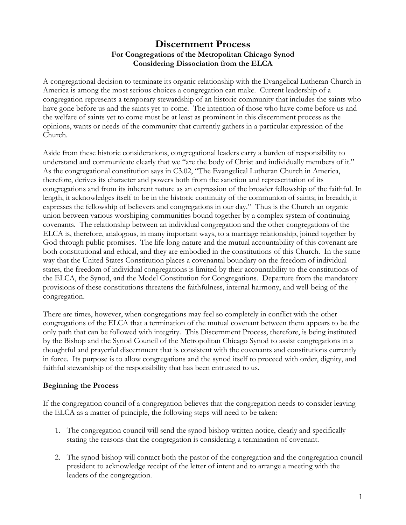# **Discernment Process For Congregations of the Metropolitan Chicago Synod Considering Dissociation from the ELCA**

A congregational decision to terminate its organic relationship with the Evangelical Lutheran Church in America is among the most serious choices a congregation can make. Current leadership of a congregation represents a temporary stewardship of an historic community that includes the saints who have gone before us and the saints yet to come. The intention of those who have come before us and the welfare of saints yet to come must be at least as prominent in this discernment process as the opinions, wants or needs of the community that currently gathers in a particular expression of the Church.

Aside from these historic considerations, congregational leaders carry a burden of responsibility to understand and communicate clearly that we "are the body of Christ and individually members of it." As the congregational constitution says in C3.02, "The Evangelical Lutheran Church in America, therefore, derives its character and powers both from the sanction and representation of its congregations and from its inherent nature as an expression of the broader fellowship of the faithful. In length, it acknowledges itself to be in the historic continuity of the communion of saints; in breadth, it expresses the fellowship of believers and congregations in our day." Thus is the Church an organic union between various worshiping communities bound together by a complex system of continuing covenants. The relationship between an individual congregation and the other congregations of the ELCA is, therefore, analogous, in many important ways, to a marriage relationship, joined together by God through public promises. The life-long nature and the mutual accountability of this covenant are both constitutional and ethical, and they are embodied in the constitutions of this Church. In the same way that the United States Constitution places a covenantal boundary on the freedom of individual states, the freedom of individual congregations is limited by their accountability to the constitutions of the ELCA, the Synod, and the Model Constitution for Congregations. Departure from the mandatory provisions of these constitutions threatens the faithfulness, internal harmony, and well-being of the congregation.

There are times, however, when congregations may feel so completely in conflict with the other congregations of the ELCA that a termination of the mutual covenant between them appears to be the only path that can be followed with integrity. This Discernment Process, therefore, is being instituted by the Bishop and the Synod Council of the Metropolitan Chicago Synod to assist congregations in a thoughtful and prayerful discernment that is consistent with the covenants and constitutions currently in force. Its purpose is to allow congregations and the synod itself to proceed with order, dignity, and faithful stewardship of the responsibility that has been entrusted to us.

## **Beginning the Process**

If the congregation council of a congregation believes that the congregation needs to consider leaving the ELCA as a matter of principle, the following steps will need to be taken:

- 1. The congregation council will send the synod bishop written notice, clearly and specifically stating the reasons that the congregation is considering a termination of covenant.
- 2. The synod bishop will contact both the pastor of the congregation and the congregation council president to acknowledge receipt of the letter of intent and to arrange a meeting with the leaders of the congregation.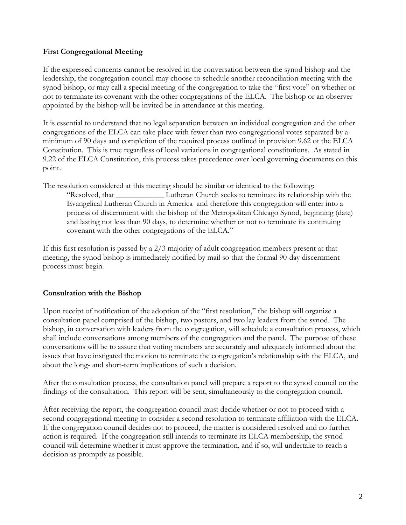### **First Congregational Meeting**

If the expressed concerns cannot be resolved in the conversation between the synod bishop and the leadership, the congregation council may choose to schedule another reconciliation meeting with the synod bishop, or may call a special meeting of the congregation to take the "first vote" on whether or not to terminate its covenant with the other congregations of the ELCA. The bishop or an observer appointed by the bishop will be invited be in attendance at this meeting.

It is essential to understand that no legal separation between an individual congregation and the other congregations of the ELCA can take place with fewer than two congregational votes separated by a minimum of 90 days and completion of the required process outlined in provision 9.62 ot the ELCA Constitution. This is true regardless of local variations in congregational constitutions. As stated in 9.22 of the ELCA Constitution, this process takes precedence over local governing documents on this point.

The resolution considered at this meeting should be similar or identical to the following:

"Resolved, that \_\_\_\_\_\_\_\_\_\_\_\_ Lutheran Church seeks to terminate its relationship with the Evangelical Lutheran Church in America and therefore this congregation will enter into a process of discernment with the bishop of the Metropolitan Chicago Synod, beginning (date) and lasting not less than 90 days, to determine whether or not to terminate its continuing covenant with the other congregations of the ELCA."

If this first resolution is passed by a 2/3 majority of adult congregation members present at that meeting, the synod bishop is immediately notified by mail so that the formal 90-day discernment process must begin.

## **Consultation with the Bishop**

Upon receipt of notification of the adoption of the "first resolution," the bishop will organize a consultation panel comprised of the bishop, two pastors, and two lay leaders from the synod. The bishop, in conversation with leaders from the congregation, will schedule a consultation process, which shall include conversations among members of the congregation and the panel. The purpose of these conversations will be to assure that voting members are accurately and adequately informed about the issues that have instigated the motion to terminate the congregation's relationship with the ELCA, and about the long- and short-term implications of such a decision.

After the consultation process, the consultation panel will prepare a report to the synod council on the findings of the consultation. This report will be sent, simultaneously to the congregation council.

After receiving the report, the congregation council must decide whether or not to proceed with a second congregational meeting to consider a second resolution to terminate affiliation with the ELCA. If the congregation council decides not to proceed, the matter is considered resolved and no further action is required. If the congregation still intends to terminate its ELCA membership, the synod council will determine whether it must approve the termination, and if so, will undertake to reach a decision as promptly as possible.